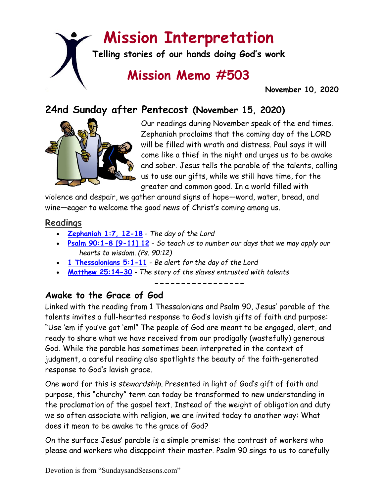# **Mission Interpretation**

**Telling stories of our hands doing God's work**

# **Mission Memo #503**

 **November 10, 2020**

# **24nd Sunday after Pentecost (November 15, 2020)**



Our readings during November speak of the end times. Zephaniah proclaims that the coming day of the LORD will be filled with wrath and distress. Paul says it will come like a thief in the night and urges us to be awake and sober. Jesus tells the parable of the talents, calling us to use our gifts, while we still have time, for the greater and common good. In a world filled with

violence and despair, we gather around signs of hope—word, water, bread, and wine—eager to welcome the good news of Christ's coming among us.

#### **Readings**

- **[Zephaniah 1:7, 12-18](https://members.sundaysandseasons.com/)** *The day of the Lord*
- **[Psalm 90:1-8 \[9-11\] 12](https://members.sundaysandseasons.com/)** *So teach us to number our days that we may apply our hearts to wisdom. (Ps. 90:12)*
- **[1 Thessalonians 5:1-11](https://members.sundaysandseasons.com/)** *Be alert for the day of the Lord*
- **[Matthew 25:14-30](https://members.sundaysandseasons.com/)** *The story of the slaves entrusted with talents*

**-----------------**

## **Awake to the Grace of God**

Linked with the reading from 1 Thessalonians and Psalm 90, Jesus' parable of the talents invites a full-hearted response to God's lavish gifts of faith and purpose: "Use 'em if you've got 'em!" The people of God are meant to be engaged, alert, and ready to share what we have received from our prodigally (wastefully) generous God. While the parable has sometimes been interpreted in the context of judgment, a careful reading also spotlights the beauty of the faith-generated response to God's lavish grace.

One word for this is *stewardship*. Presented in light of God's gift of faith and purpose, this "churchy" term can today be transformed to new understanding in the proclamation of the gospel text. Instead of the weight of obligation and duty we so often associate with religion, we are invited today to another way: What does it mean to be awake to the grace of God?

On the surface Jesus' parable is a simple premise: the contrast of workers who please and workers who disappoint their master. Psalm 90 sings to us to carefully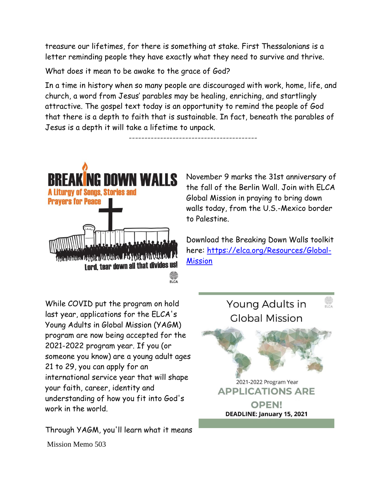treasure our lifetimes, for there is something at stake. First Thessalonians is a letter reminding people they have exactly what they need to survive and thrive.

What does it mean to be awake to the grace of God?

In a time in history when so many people are discouraged with work, home, life, and church, a word from Jesus' parables may be healing, enriching, and startlingly attractive. The gospel text today is an opportunity to remind the people of God that there is a depth to faith that is sustainable. In fact, beneath the parables of Jesus is a depth it will take a lifetime to unpack.

-----------------------------------------



November 9 marks the 31st anniversary of the fall of the Berlin Wall. Join with ELCA Global Mission in praying to bring down walls today, from the U.S.-Mexico border to Palestine.

Download the Breaking Down Walls toolkit here: [https://elca.org/Resources/Global-](https://elca.org/Resources/Global-Mission?fbclid=IwAR0mjwFb9QjmmUkn9s-tFEn8VBZC7W0idNwi3FzjBKk9Y1bULS2CMdffrwU)**[Mission](https://elca.org/Resources/Global-Mission?fbclid=IwAR0mjwFb9QjmmUkn9s-tFEn8VBZC7W0idNwi3FzjBKk9Y1bULS2CMdffrwU)** 

While COVID put the program on hold last year, applications for the ELCA's Young Adults in Global Mission (YAGM) program are now being accepted for the 2021-2022 program year. If you (or someone you know) are a young adult ages 21 to 29, you can apply for an international service year that will shape your faith, career, identity and understanding of how you fit into God's work in the world.

Mission Memo 503 Through YAGM, you'll learn what it means

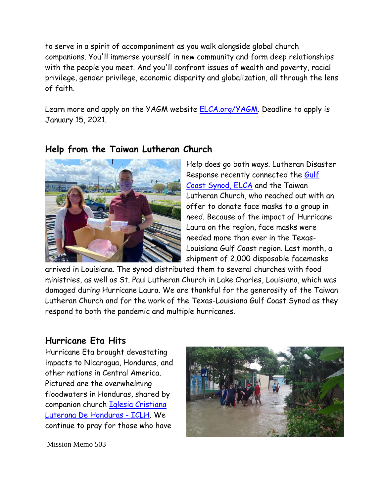to serve in a spirit of accompaniment as you walk alongside global church companions. You'll immerse yourself in new community and form deep relationships with the people you meet. And you'll confront issues of wealth and poverty, racial privilege, gender privilege, economic disparity and globalization, all through the lens of faith.

Learn more and apply on the YAGM website [ELCA.org/YAGM.](http://elca.org/YAGM?fbclid=IwAR2_ws1c5_SQpjspwCtzhsd7avGNIv8-Sj0iXPj56tWg3ZjbLIhZoF9xAso) Deadline to apply is January 15, 2021.



### **Help from the Taiwan Lutheran Church**

Help does go both ways. Lutheran Disaster Response recently connected the [Gulf](https://www.facebook.com/GulfCoastSynod/?__tn__=K-R&eid=ARBpHHUqTdPi3SxKsOgw58lOYctzi842nK62IT8IZFCuaKMW22BKSLKH4kIu3506V30ah_5UG_9wwmQ5&fref=mentions&__xts__%5B0%5D=68.ARANdw4ADywrot76Gt7Z2fffb1rsKCTmlC4BfXE4BWJGaItVQdxUKVN4yWamN61N7Ft5MCaJfkwQlmgTO7RschbVufYfCPglwGtJp9cGXVA3ShVJNXQkyZTXxkRnQEHOitbHzxQhbfRItcGuxAMs660T1spMvxXYSGv6Izx5MZNyvNbXNelOek4nne08wPYnhWIRyLHcylJfSXEM2l8bKTefrG1iPcd620vv_5n-CGaAC_teUPqTJeEU27Q0gBMG-4yMRFy_yrj529xUum_1IbcbbPy8E_EEKz629WaDuyQ7s8YaP_cpRYilRHHbJHlunbZAtvlW8PEGZThi92T7)  [Coast Synod, ELCA](https://www.facebook.com/GulfCoastSynod/?__tn__=K-R&eid=ARBpHHUqTdPi3SxKsOgw58lOYctzi842nK62IT8IZFCuaKMW22BKSLKH4kIu3506V30ah_5UG_9wwmQ5&fref=mentions&__xts__%5B0%5D=68.ARANdw4ADywrot76Gt7Z2fffb1rsKCTmlC4BfXE4BWJGaItVQdxUKVN4yWamN61N7Ft5MCaJfkwQlmgTO7RschbVufYfCPglwGtJp9cGXVA3ShVJNXQkyZTXxkRnQEHOitbHzxQhbfRItcGuxAMs660T1spMvxXYSGv6Izx5MZNyvNbXNelOek4nne08wPYnhWIRyLHcylJfSXEM2l8bKTefrG1iPcd620vv_5n-CGaAC_teUPqTJeEU27Q0gBMG-4yMRFy_yrj529xUum_1IbcbbPy8E_EEKz629WaDuyQ7s8YaP_cpRYilRHHbJHlunbZAtvlW8PEGZThi92T7) and the Taiwan Lutheran Church, who reached out with an offer to donate face masks to a group in need. Because of the impact of Hurricane Laura on the region, face masks were needed more than ever in the Texas-Louisiana Gulf Coast region. Last month, a shipment of 2,000 disposable facemasks

arrived in Louisiana. The synod distributed them to several churches with food ministries, as well as St. Paul Lutheran Church in Lake Charles, Louisiana, which was damaged during Hurricane Laura. We are thankful for the generosity of the Taiwan Lutheran Church and for the work of the Texas-Louisiana Gulf Coast Synod as they respond to both the pandemic and multiple hurricanes.

### **Hurricane Eta Hits**

Hurricane Eta brought devastating impacts to Nicaragua, Honduras, and other nations in Central America. Pictured are the overwhelming floodwaters in Honduras, shared by companion church [Iglesia Cristiana](https://www.facebook.com/IglesiaCristianaLuteranaDeHonduras/?__tn__=K-R&eid=ARCe6irpnP7Q0nn2HZROSKnwcS16F10jSZPgFrkQ70SLMeU24m2OpsY9Y4rNFJwPxhRQ4qTRky3Z8-Ud&fref=mentions&__xts__%5B0%5D=68.ARAlnNqLwS7dPb49KQUliYPoky6socwRDSwe2DlWxeWi2jWBF0KOfBKj4cigkUqLQeFWCoitZCw4fbXFYRLj3sSIAR93UBGzLWV2e3PaYNRpm3YZOyVffPZ4vXE4Q7UtTr0ift4vgL8Wgeb8nEqR4tCQ13gaW1E-ounnZMKmIQH3ADpeFcDXup8n0PW021YbJE2VyUsSkrfnbsKnMJeOUelLHIHNW5EEIn_OWhUg8jznXwM6ayE2RSjLTda67k-RcN28RnhzQv52TjDa-z14tYb6-lbpTkb89fWbo6upyGQEKjO-7-RGC9Nbjy-tnxNYNShLDYkPjXoNBx8NAJnzJjXzonQi4PcBUZZp8i-gSgQ50Q6QTLzODi1FC-opzzJhh9BCsSRkCkJUHYZUMPycWrHZgab14aX2Et8paDdsb-Zsj3YQT9vjmJurdBRanIzzkbjrS4EyUIlMYDmukiJaO5IdEhn2s4IwZLvZufI-s2qfYtY)  [Luterana De Honduras -](https://www.facebook.com/IglesiaCristianaLuteranaDeHonduras/?__tn__=K-R&eid=ARCe6irpnP7Q0nn2HZROSKnwcS16F10jSZPgFrkQ70SLMeU24m2OpsY9Y4rNFJwPxhRQ4qTRky3Z8-Ud&fref=mentions&__xts__%5B0%5D=68.ARAlnNqLwS7dPb49KQUliYPoky6socwRDSwe2DlWxeWi2jWBF0KOfBKj4cigkUqLQeFWCoitZCw4fbXFYRLj3sSIAR93UBGzLWV2e3PaYNRpm3YZOyVffPZ4vXE4Q7UtTr0ift4vgL8Wgeb8nEqR4tCQ13gaW1E-ounnZMKmIQH3ADpeFcDXup8n0PW021YbJE2VyUsSkrfnbsKnMJeOUelLHIHNW5EEIn_OWhUg8jznXwM6ayE2RSjLTda67k-RcN28RnhzQv52TjDa-z14tYb6-lbpTkb89fWbo6upyGQEKjO-7-RGC9Nbjy-tnxNYNShLDYkPjXoNBx8NAJnzJjXzonQi4PcBUZZp8i-gSgQ50Q6QTLzODi1FC-opzzJhh9BCsSRkCkJUHYZUMPycWrHZgab14aX2Et8paDdsb-Zsj3YQT9vjmJurdBRanIzzkbjrS4EyUIlMYDmukiJaO5IdEhn2s4IwZLvZufI-s2qfYtY) ICLH. We continue to pray for those who have



Mission Memo 503